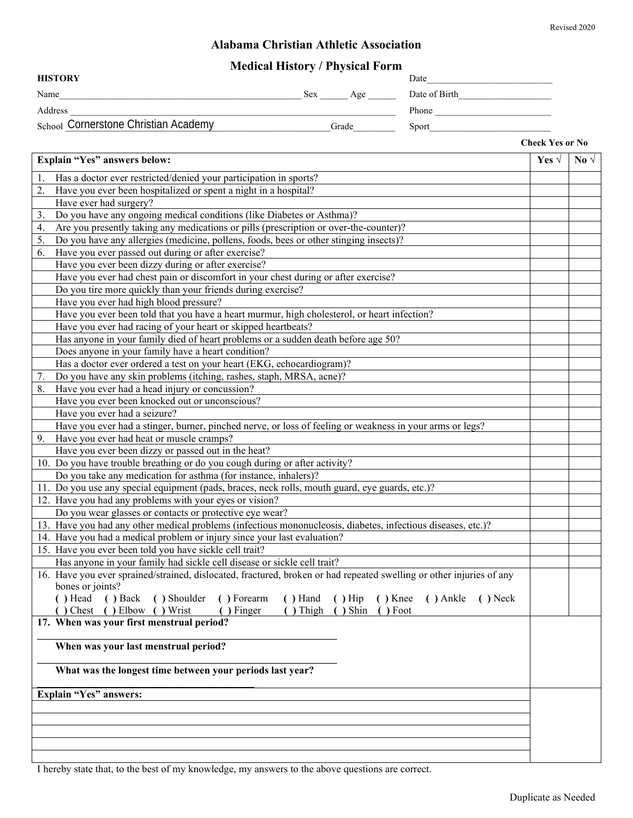#### **Alabama Christian Athletic Association**

## **Medical History / Physical Form**

| <b>HISTORY</b>                       |            | Date          |
|--------------------------------------|------------|---------------|
| Name                                 | Sex<br>Age | Date of Birth |
| Address                              |            | Phone         |
| School Cornerstone Christian Academy | Grade      | Sport         |

**Check Yes or No**

| Explain "Yes" answers below:                                                                                                             | Yes $\sqrt$ | No $\sqrt$ |
|------------------------------------------------------------------------------------------------------------------------------------------|-------------|------------|
| Has a doctor ever restricted/denied your participation in sports?<br>1.                                                                  |             |            |
| Have you ever been hospitalized or spent a night in a hospital?<br>2.                                                                    |             |            |
| Have ever had surgery?                                                                                                                   |             |            |
| Do you have any ongoing medical conditions (like Diabetes or Asthma)?<br>3.                                                              |             |            |
| Are you presently taking any medications or pills (prescription or over-the-counter)?<br>4.                                              |             |            |
| Do you have any allergies (medicine, pollens, foods, bees or other stinging insects)?<br>5.                                              |             |            |
| Have you ever passed out during or after exercise?<br>6.                                                                                 |             |            |
| Have you ever been dizzy during or after exercise?                                                                                       |             |            |
| Have you ever had chest pain or discomfort in your chest during or after exercise?                                                       |             |            |
| Do you tire more quickly than your friends during exercise?                                                                              |             |            |
| Have you ever had high blood pressure?                                                                                                   |             |            |
| Have you ever been told that you have a heart murmur, high cholesterol, or heart infection?                                              |             |            |
| Have you ever had racing of your heart or skipped heartbeats?                                                                            |             |            |
| Has anyone in your family died of heart problems or a sudden death before age 50?                                                        |             |            |
| Does anyone in your family have a heart condition?                                                                                       |             |            |
| Has a doctor ever ordered a test on your heart (EKG, echocardiogram)?                                                                    |             |            |
| Do you have any skin problems (itching, rashes, staph, MRSA, acne)?                                                                      |             |            |
| 7.<br>Have you ever had a head injury or concussion?                                                                                     |             |            |
| 8.<br>Have you ever been knocked out or unconscious?                                                                                     |             |            |
|                                                                                                                                          |             |            |
| Have you ever had a seizure?                                                                                                             |             |            |
| Have you ever had a stinger, burner, pinched nerve, or loss of feeling or weakness in your arms or legs?                                 |             |            |
| 9. Have you ever had heat or muscle cramps?                                                                                              |             |            |
| Have you ever been dizzy or passed out in the heat?                                                                                      |             |            |
| 10. Do you have trouble breathing or do you cough during or after activity?                                                              |             |            |
| Do you take any medication for asthma (for instance, inhalers)?                                                                          |             |            |
| 11. Do you use any special equipment (pads, braces, neck rolls, mouth guard, eye guards, etc.)?                                          |             |            |
| 12. Have you had any problems with your eyes or vision?                                                                                  |             |            |
| Do you wear glasses or contacts or protective eye wear?                                                                                  |             |            |
| 13. Have you had any other medical problems (infectious mononucleosis, diabetes, infectious diseases, etc.)?                             |             |            |
| 14. Have you had a medical problem or injury since your last evaluation?                                                                 |             |            |
| 15. Have you ever been told you have sickle cell trait?                                                                                  |             |            |
| Has anyone in your family had sickle cell disease or sickle cell trait?                                                                  |             |            |
| 16. Have you ever sprained/strained, dislocated, fractured, broken or had repeated swelling or other injuries of any<br>bones or joints? |             |            |
| () Head () Back () Shoulder () Forearm<br>() Hand () Hip () Knee () Ankle () Neck                                                        |             |            |
| () Chest () Elbow () Wrist<br>() Finger () Thigh () Shin () Foot                                                                         |             |            |
| 17. When was your first menstrual period?                                                                                                |             |            |
|                                                                                                                                          |             |            |
| When was your last menstrual period?                                                                                                     |             |            |
| What was the longest time between your periods last year?                                                                                |             |            |
|                                                                                                                                          |             |            |
| Explain "Yes" answers:                                                                                                                   |             |            |
|                                                                                                                                          |             |            |
|                                                                                                                                          |             |            |
|                                                                                                                                          |             |            |
|                                                                                                                                          |             |            |
|                                                                                                                                          |             |            |

I hereby state that, to the best of my knowledge, my answers to the above questions are correct.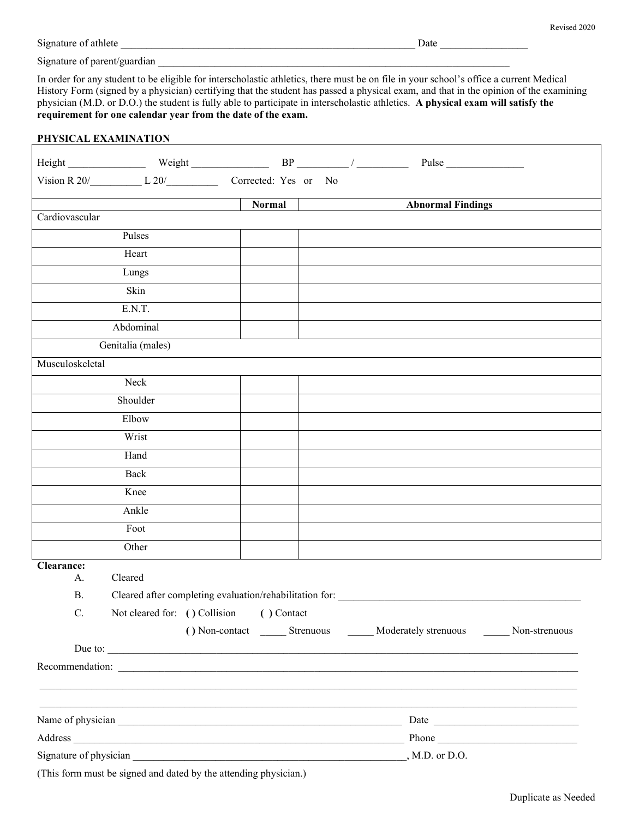ī

Signature of athlete **Date 2018** 

Signature of parent/guardian

In order for any student to be eligible for interscholastic athletics, there must be on file in your school's office a current Medical History Form (signed by a physician) certifying that the student has passed a physical exam, and that in the opinion of the examining physician (M.D. or D.O.) the student is fully able to participate in interscholastic athletics. **A physical exam will satisfy the requirement for one calendar year from the date of the exam.**

<u> 1980 - Johann Barn, mars ann an t-Amhain Aonaich an t-Aonaich an t-Aonaich ann an t-Aonaich ann an t-Aonaich</u>

#### **PHYSICAL EXAMINATION**

|                                                                      |                                               |  |        |  | Pulse                                                       |  |
|----------------------------------------------------------------------|-----------------------------------------------|--|--------|--|-------------------------------------------------------------|--|
|                                                                      | Vision R 20/ L 20/ L 20/ Corrected: Yes or No |  |        |  |                                                             |  |
|                                                                      |                                               |  | Normal |  | <b>Abnormal Findings</b>                                    |  |
| Cardiovascular                                                       |                                               |  |        |  |                                                             |  |
|                                                                      | Pulses                                        |  |        |  |                                                             |  |
|                                                                      | Heart                                         |  |        |  |                                                             |  |
|                                                                      | Lungs                                         |  |        |  |                                                             |  |
|                                                                      | Skin                                          |  |        |  |                                                             |  |
|                                                                      | E.N.T.                                        |  |        |  |                                                             |  |
|                                                                      | Abdominal                                     |  |        |  |                                                             |  |
|                                                                      | Genitalia (males)                             |  |        |  |                                                             |  |
| Musculoskeletal                                                      |                                               |  |        |  |                                                             |  |
|                                                                      | Neck                                          |  |        |  |                                                             |  |
|                                                                      | Shoulder                                      |  |        |  |                                                             |  |
|                                                                      | Elbow                                         |  |        |  |                                                             |  |
|                                                                      | Wrist                                         |  |        |  |                                                             |  |
|                                                                      | Hand                                          |  |        |  |                                                             |  |
|                                                                      | Back                                          |  |        |  |                                                             |  |
|                                                                      | Knee                                          |  |        |  |                                                             |  |
|                                                                      | Ankle                                         |  |        |  |                                                             |  |
|                                                                      | Foot                                          |  |        |  |                                                             |  |
|                                                                      | Other                                         |  |        |  |                                                             |  |
| Clearance:                                                           |                                               |  |        |  |                                                             |  |
| А.                                                                   | Cleared                                       |  |        |  |                                                             |  |
| <b>B.</b><br>Cleared after completing evaluation/rehabilitation for: |                                               |  |        |  |                                                             |  |
| $C_{\cdot}$                                                          | Not cleared for: () Collision () Contact      |  |        |  |                                                             |  |
|                                                                      |                                               |  |        |  | () Non-contact Strenuous Moderately strenuous Non-strenuous |  |
|                                                                      |                                               |  |        |  | Due to:                                                     |  |
|                                                                      |                                               |  |        |  | Recommendation:                                             |  |
|                                                                      |                                               |  |        |  |                                                             |  |
|                                                                      |                                               |  |        |  |                                                             |  |
|                                                                      |                                               |  |        |  |                                                             |  |
|                                                                      |                                               |  |        |  |                                                             |  |

(This form must be signed and dated by the attending physician.)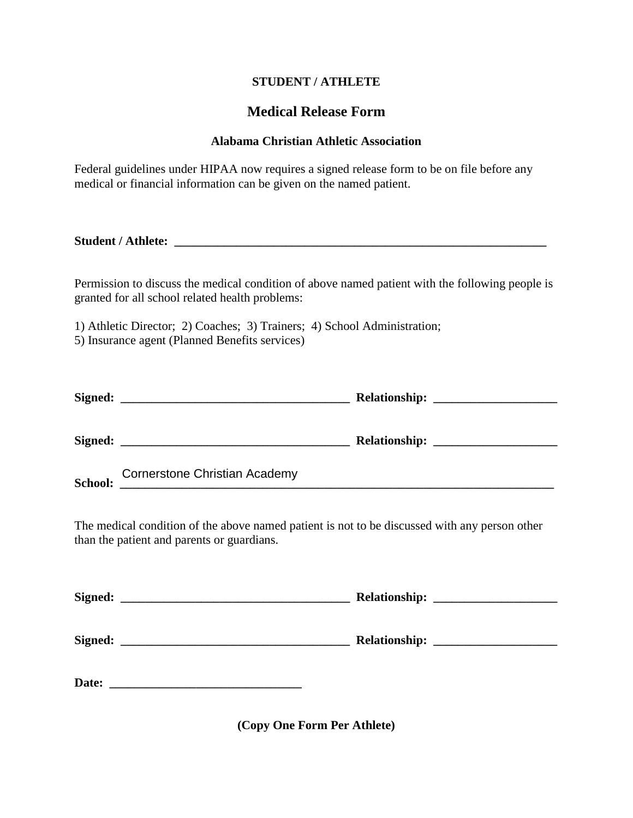### **STUDENT / ATHLETE**

# **Medical Release Form**

#### **Alabama Christian Athletic Association**

Federal guidelines under HIPAA now requires a signed release form to be on file before any medical or financial information can be given on the named patient.

**Student / Athlete: \_\_\_\_\_\_\_\_\_\_\_\_\_\_\_\_\_\_\_\_\_\_\_\_\_\_\_\_\_\_\_\_\_\_\_\_\_\_\_\_\_\_\_\_\_\_\_\_\_\_\_\_\_\_\_\_\_\_\_\_** 

Permission to discuss the medical condition of above named patient with the following people is granted for all school related health problems:

1) Athletic Director; 2) Coaches; 3) Trainers; 4) School Administration; 5) Insurance agent (Planned Benefits services)

| Signed:       | <u> 1990 - Jan James Alexandro (j. 1920)</u>                                    |  |
|---------------|---------------------------------------------------------------------------------|--|
| Signed:       | the contract of the contract of the contract of the contract of the contract of |  |
| $\sim$ $\sim$ | <b>Cornerstone Christian Academy</b>                                            |  |

**School: \_\_\_\_\_\_\_\_\_\_\_\_\_\_\_\_\_\_\_\_\_\_\_\_\_\_\_\_\_\_\_\_\_\_\_\_\_\_\_\_\_\_\_\_\_\_\_\_\_\_\_\_\_\_\_\_\_\_\_\_\_\_\_\_\_\_\_\_\_\_** 

The medical condition of the above named patient is not to be discussed with any person other than the patient and parents or guardians.

| Signed:<br><u> 2000 - Jan Barnett, mars et al. 1980 - Antonio de Arabel et al. 1980 - Antonio de Arabel et al. 1980 - Antonio</u> |  |
|-----------------------------------------------------------------------------------------------------------------------------------|--|
| Signed:                                                                                                                           |  |
| Date:                                                                                                                             |  |

**(Copy One Form Per Athlete)**